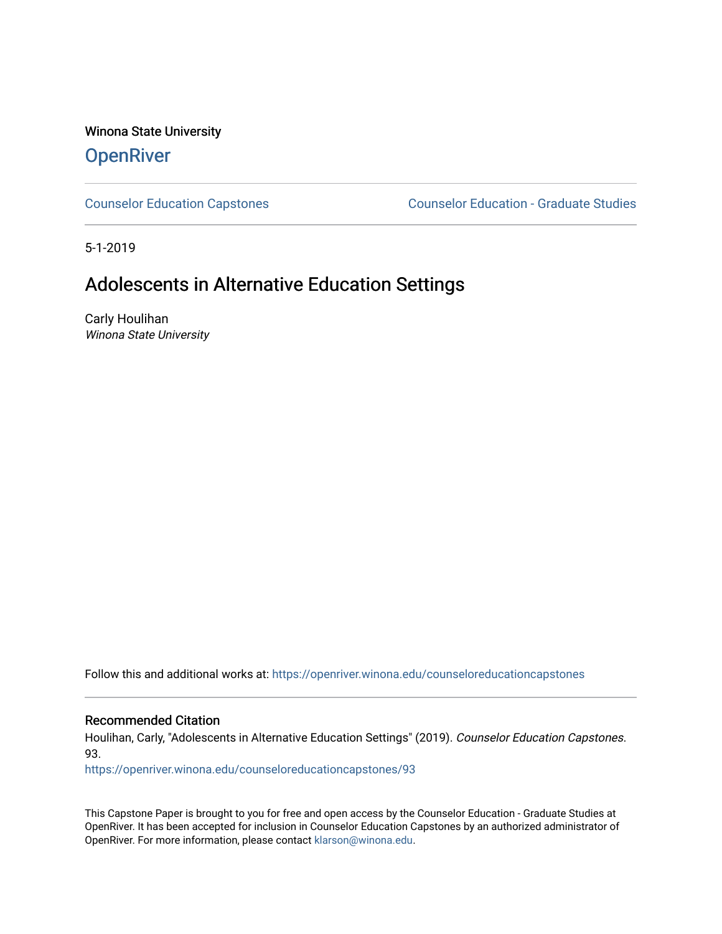Winona State University

# **OpenRiver**

[Counselor Education Capstones](https://openriver.winona.edu/counseloreducationcapstones) [Counselor Education - Graduate Studies](https://openriver.winona.edu/counseloreducation) 

5-1-2019

# Adolescents in Alternative Education Settings

Carly Houlihan Winona State University

Follow this and additional works at: [https://openriver.winona.edu/counseloreducationcapstones](https://openriver.winona.edu/counseloreducationcapstones?utm_source=openriver.winona.edu%2Fcounseloreducationcapstones%2F93&utm_medium=PDF&utm_campaign=PDFCoverPages)

### Recommended Citation

Houlihan, Carly, "Adolescents in Alternative Education Settings" (2019). Counselor Education Capstones. 93.

[https://openriver.winona.edu/counseloreducationcapstones/93](https://openriver.winona.edu/counseloreducationcapstones/93?utm_source=openriver.winona.edu%2Fcounseloreducationcapstones%2F93&utm_medium=PDF&utm_campaign=PDFCoverPages) 

This Capstone Paper is brought to you for free and open access by the Counselor Education - Graduate Studies at OpenRiver. It has been accepted for inclusion in Counselor Education Capstones by an authorized administrator of OpenRiver. For more information, please contact [klarson@winona.edu](mailto:klarson@winona.edu).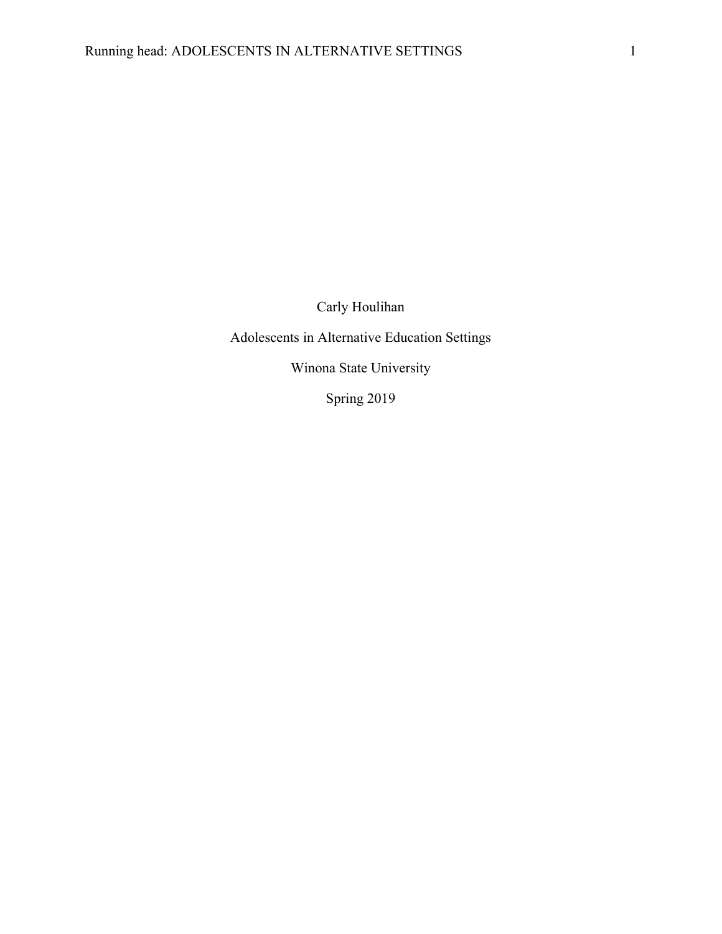Carly Houlihan

Adolescents in Alternative Education Settings

Winona State University

Spring 2019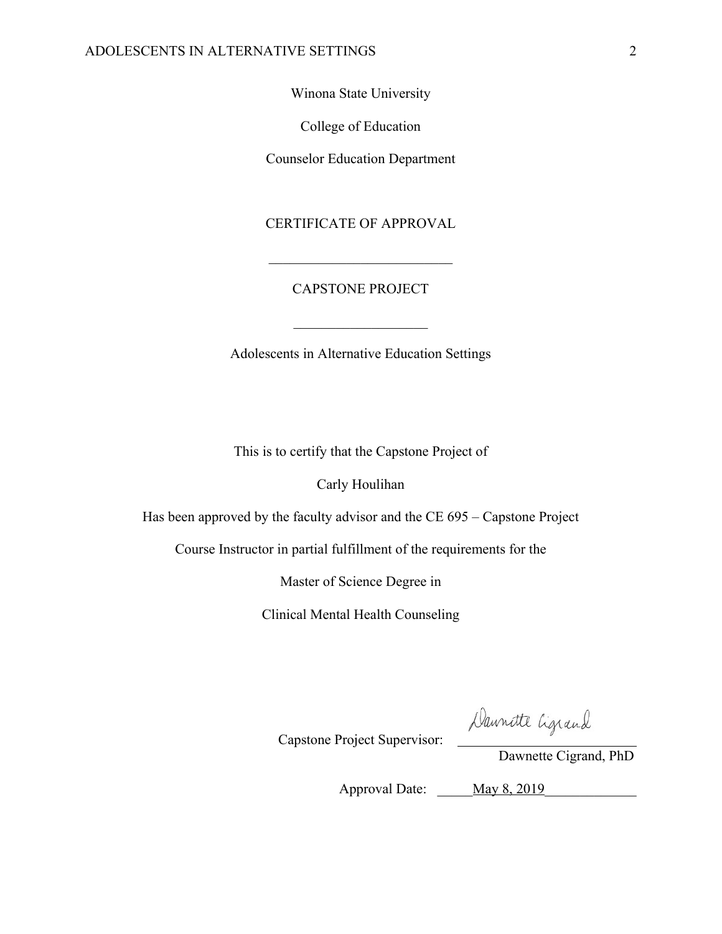Winona State University

College of Education

Counselor Education Department

## CERTIFICATE OF APPROVAL

# CAPSTONE PROJECT

Adolescents in Alternative Education Settings

This is to certify that the Capstone Project of

Carly Houlihan

Has been approved by the faculty advisor and the CE 695 – Capstone Project

Course Instructor in partial fulfillment of the requirements for the

Master of Science Degree in

Clinical Mental Health Counseling

Capstone Project Supervisor:

Daunitte Cigrand

Dawnette Cigrand, PhD

Approval Date: <u>May 8, 2019</u>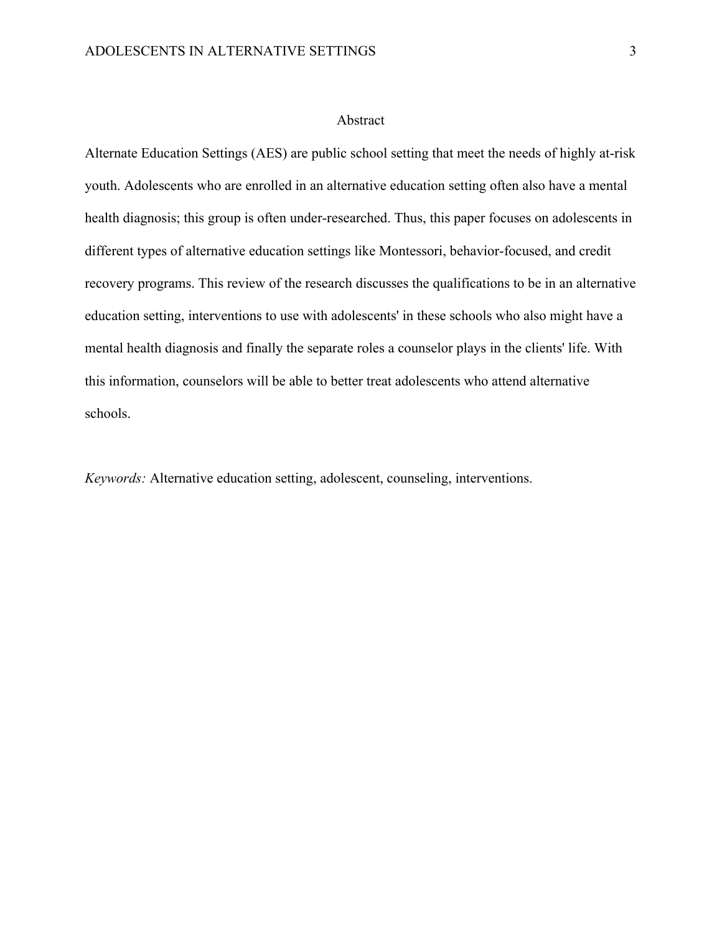#### Abstract

Alternate Education Settings (AES) are public school setting that meet the needs of highly at-risk youth. Adolescents who are enrolled in an alternative education setting often also have a mental health diagnosis; this group is often under-researched. Thus, this paper focuses on adolescents in different types of alternative education settings like Montessori, behavior-focused, and credit recovery programs. This review of the research discusses the qualifications to be in an alternative education setting, interventions to use with adolescents' in these schools who also might have a mental health diagnosis and finally the separate roles a counselor plays in the clients' life. With this information, counselors will be able to better treat adolescents who attend alternative schools.

*Keywords:* Alternative education setting, adolescent, counseling, interventions.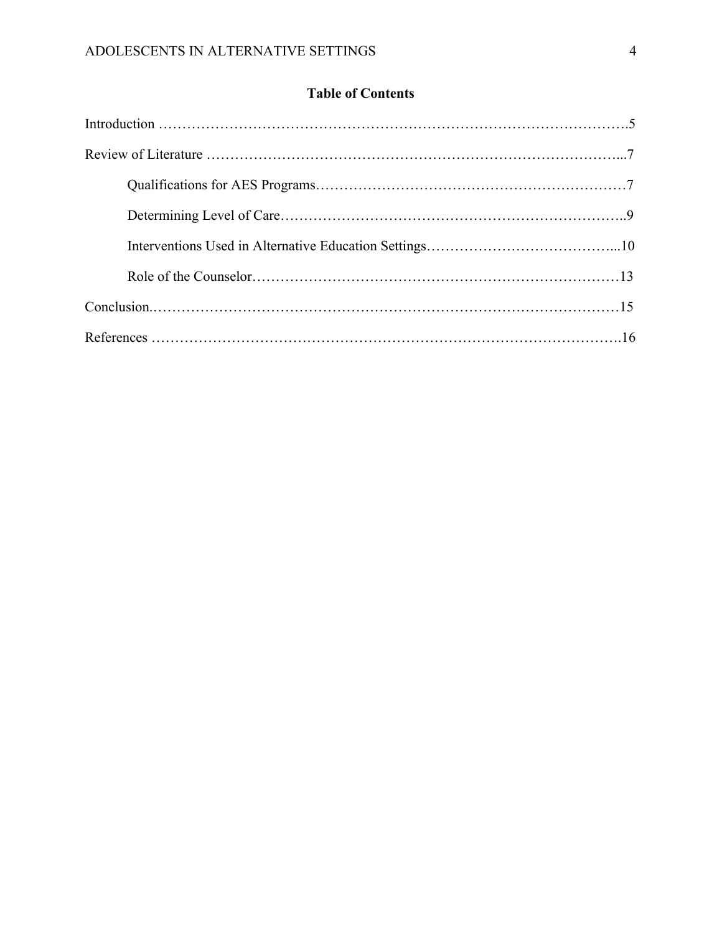# **Table of Contents**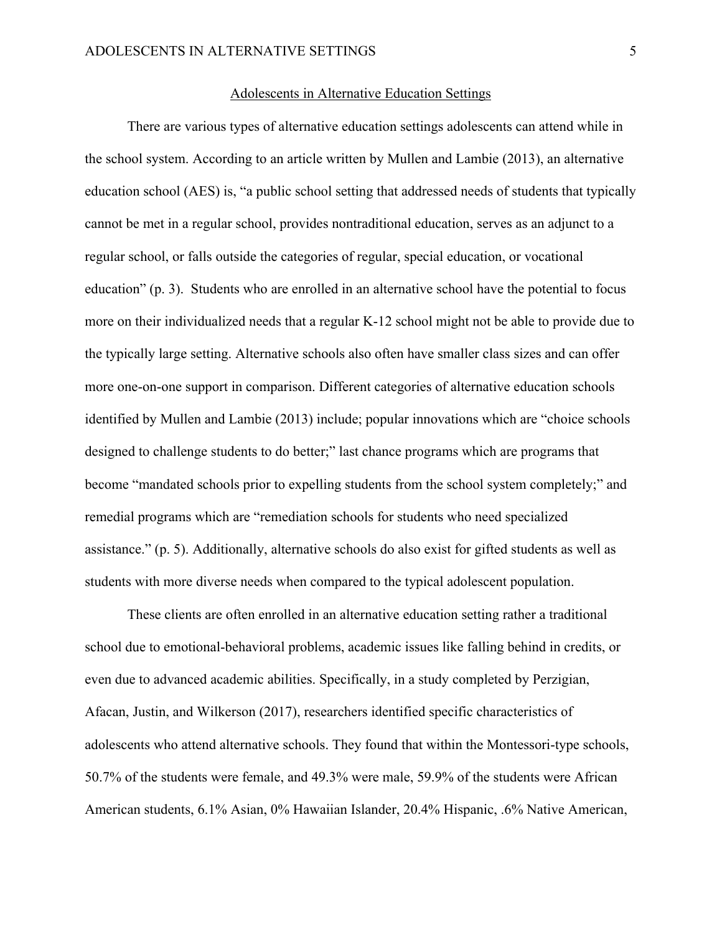#### Adolescents in Alternative Education Settings

There are various types of alternative education settings adolescents can attend while in the school system. According to an article written by Mullen and Lambie (2013), an alternative education school (AES) is, "a public school setting that addressed needs of students that typically cannot be met in a regular school, provides nontraditional education, serves as an adjunct to a regular school, or falls outside the categories of regular, special education, or vocational education" (p. 3). Students who are enrolled in an alternative school have the potential to focus more on their individualized needs that a regular K-12 school might not be able to provide due to the typically large setting. Alternative schools also often have smaller class sizes and can offer more one-on-one support in comparison. Different categories of alternative education schools identified by Mullen and Lambie (2013) include; popular innovations which are "choice schools designed to challenge students to do better;" last chance programs which are programs that become "mandated schools prior to expelling students from the school system completely;" and remedial programs which are "remediation schools for students who need specialized assistance." (p. 5). Additionally, alternative schools do also exist for gifted students as well as students with more diverse needs when compared to the typical adolescent population.

These clients are often enrolled in an alternative education setting rather a traditional school due to emotional-behavioral problems, academic issues like falling behind in credits, or even due to advanced academic abilities. Specifically, in a study completed by Perzigian, Afacan, Justin, and Wilkerson (2017), researchers identified specific characteristics of adolescents who attend alternative schools. They found that within the Montessori-type schools, 50.7% of the students were female, and 49.3% were male, 59.9% of the students were African American students, 6.1% Asian, 0% Hawaiian Islander, 20.4% Hispanic, .6% Native American,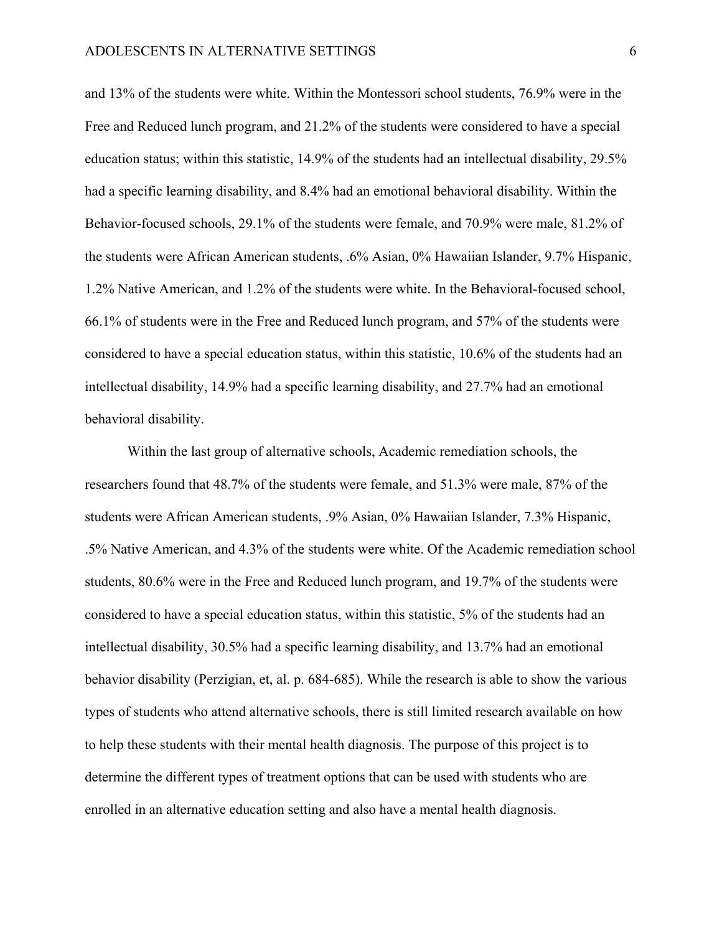and 13% of the students were white. Within the Montessori school students, 76.9% were in the Free and Reduced lunch program, and 21.2% of the students were considered to have a special education status; within this statistic, 14.9% of the students had an intellectual disability, 29.5% had a specific learning disability, and 8.4% had an emotional behavioral disability. Within the Behavior-focused schools, 29.1% of the students were female, and 70.9% were male, 81.2% of the students were African American students, .6% Asian, 0% Hawaiian Islander, 9.7% Hispanic, 1.2% Native American, and 1.2% of the students were white. In the Behavioral-focused school, 66.1% of students were in the Free and Reduced lunch program, and 57% of the students were considered to have a special education status, within this statistic, 10.6% of the students had an intellectual disability, 14.9% had a specific learning disability, and 27.7% had an emotional behavioral disability.

Within the last group of alternative schools, Academic remediation schools, the researchers found that 48.7% of the students were female, and 51.3% were male, 87% of the students were African American students, .9% Asian, 0% Hawaiian Islander, 7.3% Hispanic, .5% Native American, and 4.3% of the students were white. Of the Academic remediation school students, 80.6% were in the Free and Reduced lunch program, and 19.7% of the students were considered to have a special education status, within this statistic, 5% of the students had an intellectual disability, 30.5% had a specific learning disability, and 13.7% had an emotional behavior disability (Perzigian, et, al. p. 684-685). While the research is able to show the various types of students who attend alternative schools, there is still limited research available on how to help these students with their mental health diagnosis. The purpose of this project is to determine the different types of treatment options that can be used with students who are enrolled in an alternative education setting and also have a mental health diagnosis.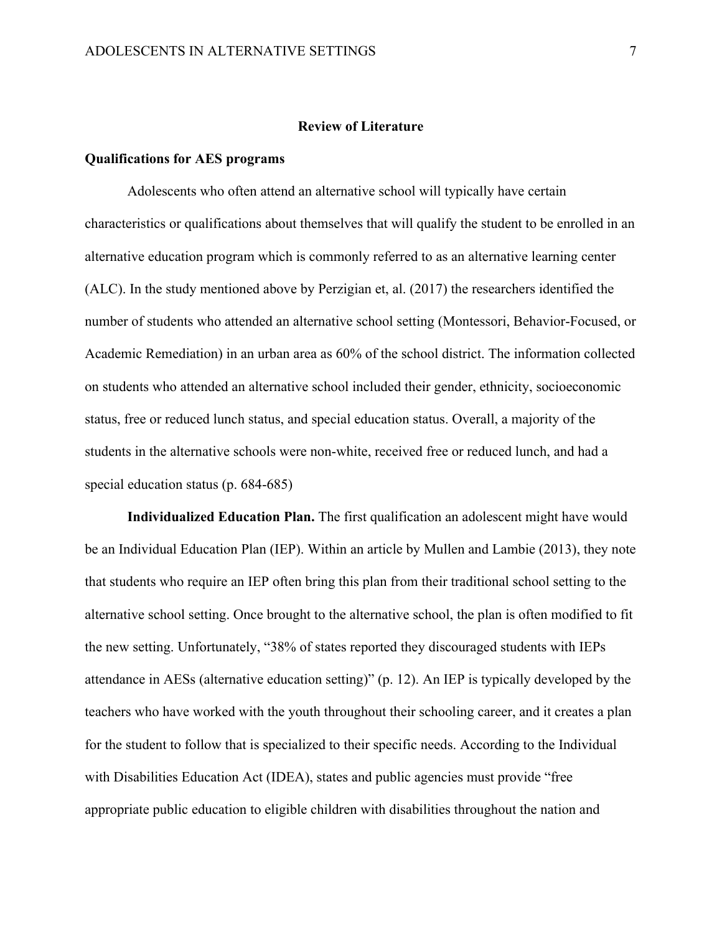#### **Review of Literature**

#### **Qualifications for AES programs**

Adolescents who often attend an alternative school will typically have certain characteristics or qualifications about themselves that will qualify the student to be enrolled in an alternative education program which is commonly referred to as an alternative learning center (ALC). In the study mentioned above by Perzigian et, al. (2017) the researchers identified the number of students who attended an alternative school setting (Montessori, Behavior-Focused, or Academic Remediation) in an urban area as 60% of the school district. The information collected on students who attended an alternative school included their gender, ethnicity, socioeconomic status, free or reduced lunch status, and special education status. Overall, a majority of the students in the alternative schools were non-white, received free or reduced lunch, and had a special education status (p. 684-685)

**Individualized Education Plan.** The first qualification an adolescent might have would be an Individual Education Plan (IEP). Within an article by Mullen and Lambie (2013), they note that students who require an IEP often bring this plan from their traditional school setting to the alternative school setting. Once brought to the alternative school, the plan is often modified to fit the new setting. Unfortunately, "38% of states reported they discouraged students with IEPs attendance in AESs (alternative education setting)" (p. 12). An IEP is typically developed by the teachers who have worked with the youth throughout their schooling career, and it creates a plan for the student to follow that is specialized to their specific needs. According to the Individual with Disabilities Education Act (IDEA), states and public agencies must provide "free appropriate public education to eligible children with disabilities throughout the nation and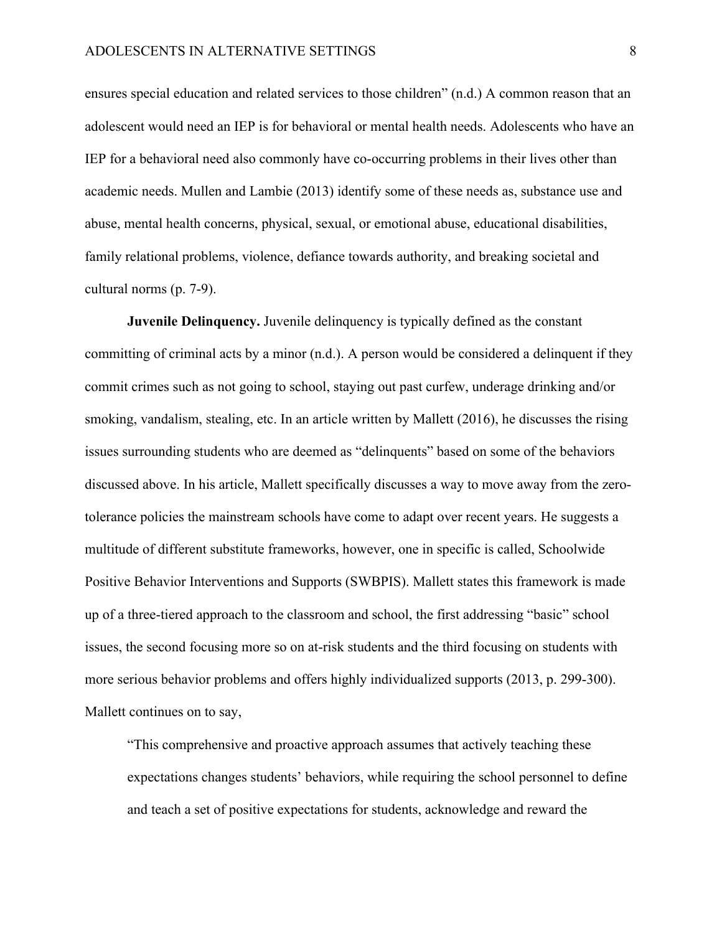ensures special education and related services to those children" (n.d.) A common reason that an adolescent would need an IEP is for behavioral or mental health needs. Adolescents who have an IEP for a behavioral need also commonly have co-occurring problems in their lives other than academic needs. Mullen and Lambie (2013) identify some of these needs as, substance use and abuse, mental health concerns, physical, sexual, or emotional abuse, educational disabilities, family relational problems, violence, defiance towards authority, and breaking societal and cultural norms (p. 7-9).

**Juvenile Delinquency.** Juvenile delinquency is typically defined as the constant committing of criminal acts by a minor (n.d.). A person would be considered a delinquent if they commit crimes such as not going to school, staying out past curfew, underage drinking and/or smoking, vandalism, stealing, etc. In an article written by Mallett (2016), he discusses the rising issues surrounding students who are deemed as "delinquents" based on some of the behaviors discussed above. In his article, Mallett specifically discusses a way to move away from the zerotolerance policies the mainstream schools have come to adapt over recent years. He suggests a multitude of different substitute frameworks, however, one in specific is called, Schoolwide Positive Behavior Interventions and Supports (SWBPIS). Mallett states this framework is made up of a three-tiered approach to the classroom and school, the first addressing "basic" school issues, the second focusing more so on at-risk students and the third focusing on students with more serious behavior problems and offers highly individualized supports (2013, p. 299-300). Mallett continues on to say,

"This comprehensive and proactive approach assumes that actively teaching these expectations changes students' behaviors, while requiring the school personnel to define and teach a set of positive expectations for students, acknowledge and reward the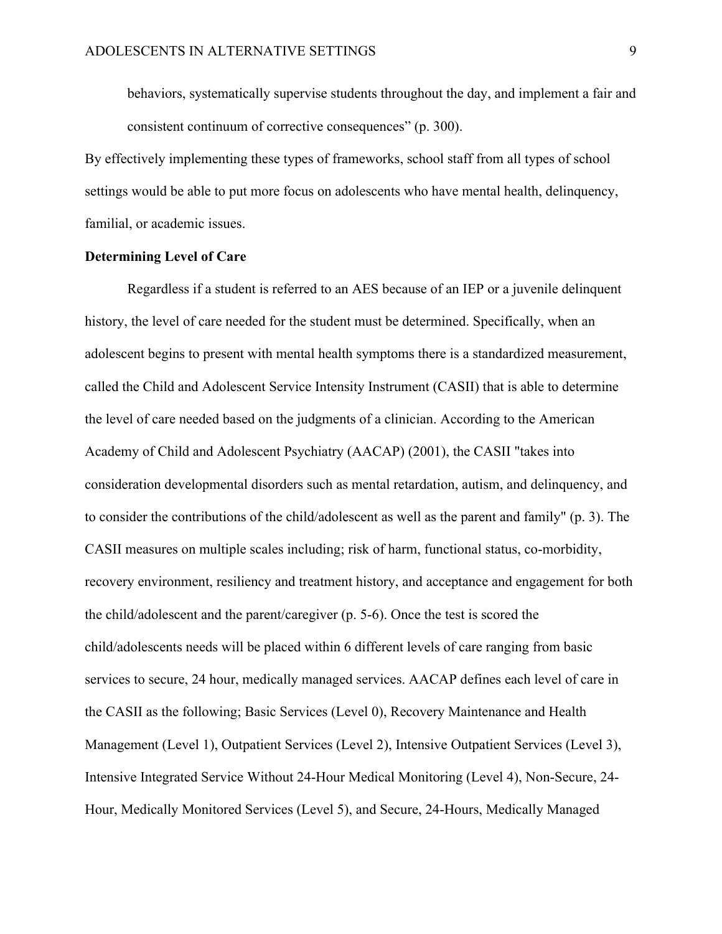behaviors, systematically supervise students throughout the day, and implement a fair and consistent continuum of corrective consequences" (p. 300).

By effectively implementing these types of frameworks, school staff from all types of school settings would be able to put more focus on adolescents who have mental health, delinquency, familial, or academic issues.

#### **Determining Level of Care**

Regardless if a student is referred to an AES because of an IEP or a juvenile delinquent history, the level of care needed for the student must be determined. Specifically, when an adolescent begins to present with mental health symptoms there is a standardized measurement, called the Child and Adolescent Service Intensity Instrument (CASII) that is able to determine the level of care needed based on the judgments of a clinician. According to the American Academy of Child and Adolescent Psychiatry (AACAP) (2001), the CASII "takes into consideration developmental disorders such as mental retardation, autism, and delinquency, and to consider the contributions of the child/adolescent as well as the parent and family" (p. 3). The CASII measures on multiple scales including; risk of harm, functional status, co-morbidity, recovery environment, resiliency and treatment history, and acceptance and engagement for both the child/adolescent and the parent/caregiver (p. 5-6). Once the test is scored the child/adolescents needs will be placed within 6 different levels of care ranging from basic services to secure, 24 hour, medically managed services. AACAP defines each level of care in the CASII as the following; Basic Services (Level 0), Recovery Maintenance and Health Management (Level 1), Outpatient Services (Level 2), Intensive Outpatient Services (Level 3), Intensive Integrated Service Without 24-Hour Medical Monitoring (Level 4), Non-Secure, 24- Hour, Medically Monitored Services (Level 5), and Secure, 24-Hours, Medically Managed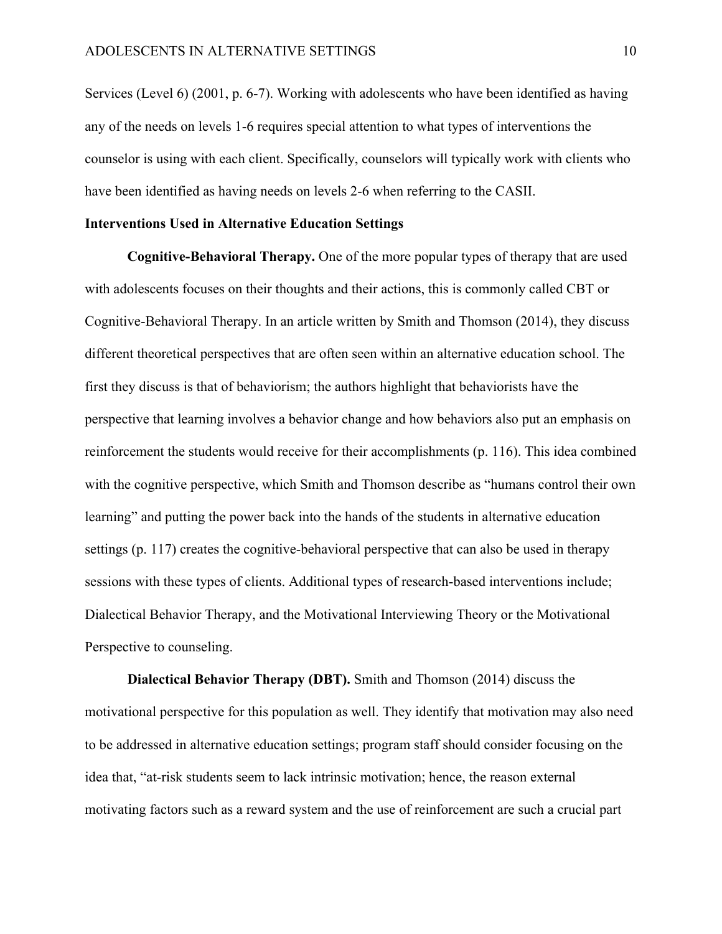Services (Level 6) (2001, p. 6-7). Working with adolescents who have been identified as having any of the needs on levels 1-6 requires special attention to what types of interventions the counselor is using with each client. Specifically, counselors will typically work with clients who have been identified as having needs on levels 2-6 when referring to the CASII.

#### **Interventions Used in Alternative Education Settings**

**Cognitive-Behavioral Therapy.** One of the more popular types of therapy that are used with adolescents focuses on their thoughts and their actions, this is commonly called CBT or Cognitive-Behavioral Therapy. In an article written by Smith and Thomson (2014), they discuss different theoretical perspectives that are often seen within an alternative education school. The first they discuss is that of behaviorism; the authors highlight that behaviorists have the perspective that learning involves a behavior change and how behaviors also put an emphasis on reinforcement the students would receive for their accomplishments (p. 116). This idea combined with the cognitive perspective, which Smith and Thomson describe as "humans control their own learning" and putting the power back into the hands of the students in alternative education settings (p. 117) creates the cognitive-behavioral perspective that can also be used in therapy sessions with these types of clients. Additional types of research-based interventions include; Dialectical Behavior Therapy, and the Motivational Interviewing Theory or the Motivational Perspective to counseling.

**Dialectical Behavior Therapy (DBT).** Smith and Thomson (2014) discuss the motivational perspective for this population as well. They identify that motivation may also need to be addressed in alternative education settings; program staff should consider focusing on the idea that, "at-risk students seem to lack intrinsic motivation; hence, the reason external motivating factors such as a reward system and the use of reinforcement are such a crucial part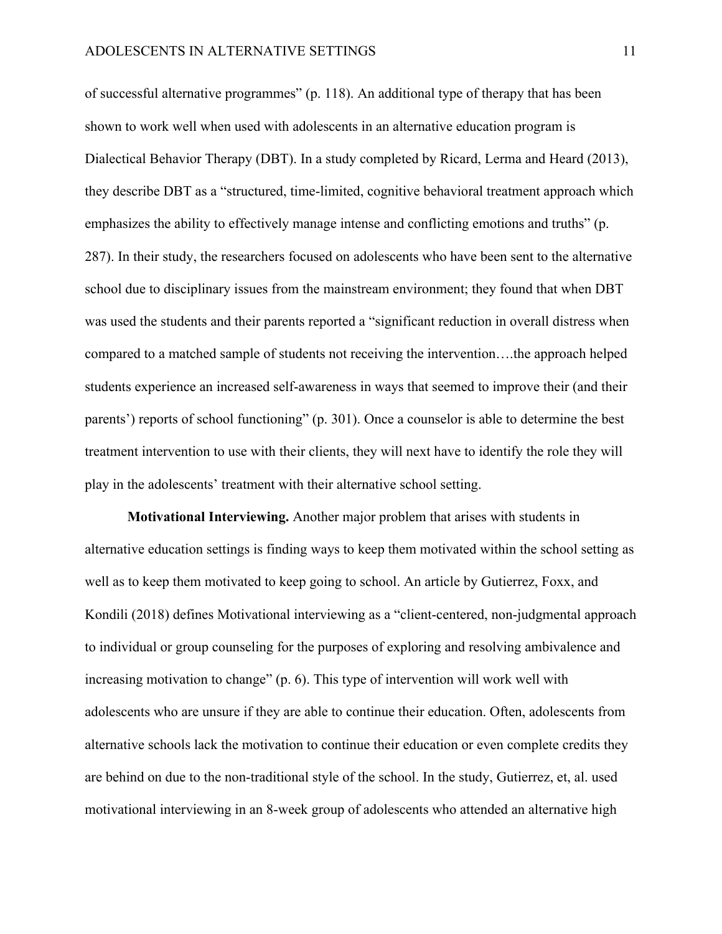of successful alternative programmes" (p. 118). An additional type of therapy that has been shown to work well when used with adolescents in an alternative education program is Dialectical Behavior Therapy (DBT). In a study completed by Ricard, Lerma and Heard (2013), they describe DBT as a "structured, time-limited, cognitive behavioral treatment approach which emphasizes the ability to effectively manage intense and conflicting emotions and truths" (p. 287). In their study, the researchers focused on adolescents who have been sent to the alternative school due to disciplinary issues from the mainstream environment; they found that when DBT was used the students and their parents reported a "significant reduction in overall distress when compared to a matched sample of students not receiving the intervention….the approach helped students experience an increased self-awareness in ways that seemed to improve their (and their parents') reports of school functioning" (p. 301). Once a counselor is able to determine the best treatment intervention to use with their clients, they will next have to identify the role they will play in the adolescents' treatment with their alternative school setting.

**Motivational Interviewing.** Another major problem that arises with students in alternative education settings is finding ways to keep them motivated within the school setting as well as to keep them motivated to keep going to school. An article by Gutierrez, Foxx, and Kondili (2018) defines Motivational interviewing as a "client-centered, non-judgmental approach to individual or group counseling for the purposes of exploring and resolving ambivalence and increasing motivation to change" (p. 6). This type of intervention will work well with adolescents who are unsure if they are able to continue their education. Often, adolescents from alternative schools lack the motivation to continue their education or even complete credits they are behind on due to the non-traditional style of the school. In the study, Gutierrez, et, al. used motivational interviewing in an 8-week group of adolescents who attended an alternative high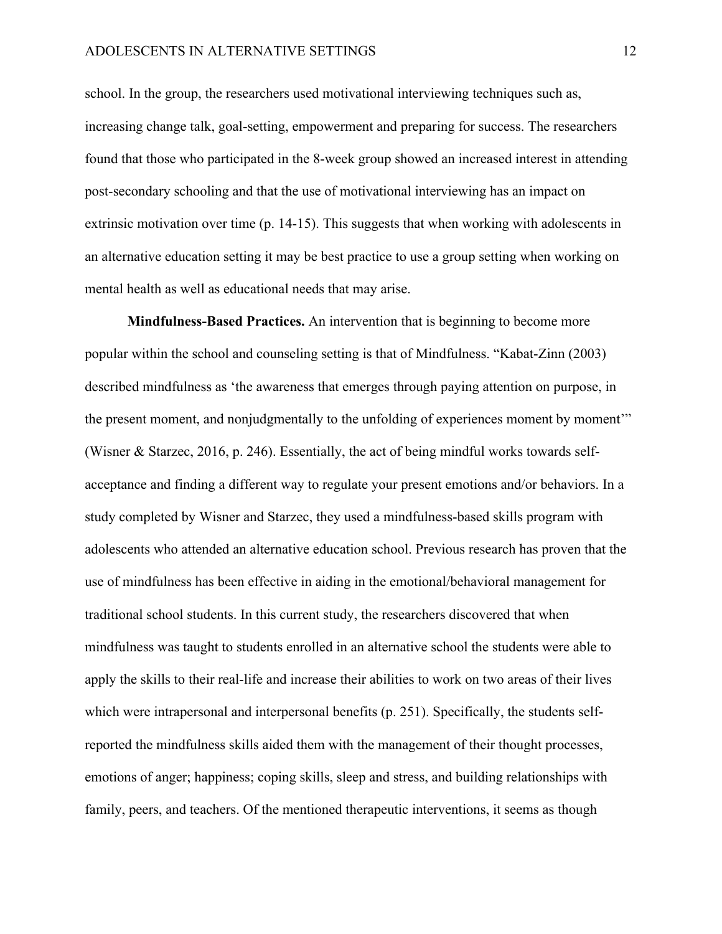school. In the group, the researchers used motivational interviewing techniques such as, increasing change talk, goal-setting, empowerment and preparing for success. The researchers found that those who participated in the 8-week group showed an increased interest in attending post-secondary schooling and that the use of motivational interviewing has an impact on extrinsic motivation over time (p. 14-15). This suggests that when working with adolescents in an alternative education setting it may be best practice to use a group setting when working on mental health as well as educational needs that may arise.

**Mindfulness-Based Practices.** An intervention that is beginning to become more popular within the school and counseling setting is that of Mindfulness. "Kabat-Zinn (2003) described mindfulness as 'the awareness that emerges through paying attention on purpose, in the present moment, and nonjudgmentally to the unfolding of experiences moment by moment'" (Wisner & Starzec, 2016, p. 246). Essentially, the act of being mindful works towards selfacceptance and finding a different way to regulate your present emotions and/or behaviors. In a study completed by Wisner and Starzec, they used a mindfulness-based skills program with adolescents who attended an alternative education school. Previous research has proven that the use of mindfulness has been effective in aiding in the emotional/behavioral management for traditional school students. In this current study, the researchers discovered that when mindfulness was taught to students enrolled in an alternative school the students were able to apply the skills to their real-life and increase their abilities to work on two areas of their lives which were intrapersonal and interpersonal benefits (p. 251). Specifically, the students selfreported the mindfulness skills aided them with the management of their thought processes, emotions of anger; happiness; coping skills, sleep and stress, and building relationships with family, peers, and teachers. Of the mentioned therapeutic interventions, it seems as though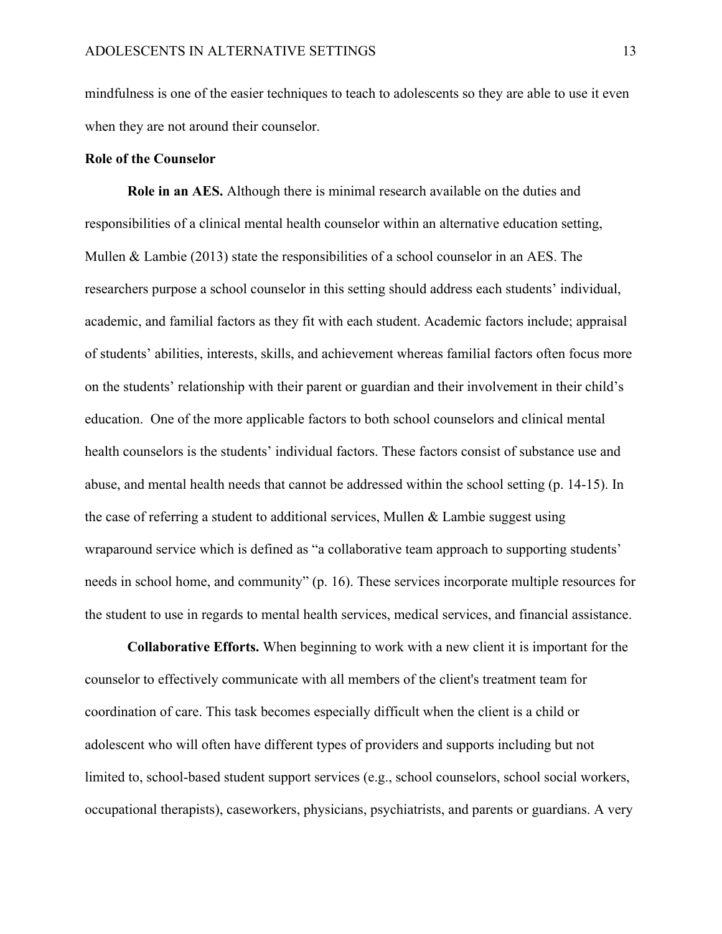mindfulness is one of the easier techniques to teach to adolescents so they are able to use it even when they are not around their counselor.

#### **Role of the Counselor**

**Role in an AES.** Although there is minimal research available on the duties and responsibilities of a clinical mental health counselor within an alternative education setting, Mullen & Lambie (2013) state the responsibilities of a school counselor in an AES. The researchers purpose a school counselor in this setting should address each students' individual, academic, and familial factors as they fit with each student. Academic factors include; appraisal of students' abilities, interests, skills, and achievement whereas familial factors often focus more on the students' relationship with their parent or guardian and their involvement in their child's education. One of the more applicable factors to both school counselors and clinical mental health counselors is the students' individual factors. These factors consist of substance use and abuse, and mental health needs that cannot be addressed within the school setting (p. 14-15). In the case of referring a student to additional services, Mullen & Lambie suggest using wraparound service which is defined as "a collaborative team approach to supporting students' needs in school home, and community" (p. 16). These services incorporate multiple resources for the student to use in regards to mental health services, medical services, and financial assistance.

**Collaborative Efforts.** When beginning to work with a new client it is important for the counselor to effectively communicate with all members of the client's treatment team for coordination of care. This task becomes especially difficult when the client is a child or adolescent who will often have different types of providers and supports including but not limited to, school-based student support services (e.g., school counselors, school social workers, occupational therapists), caseworkers, physicians, psychiatrists, and parents or guardians. A very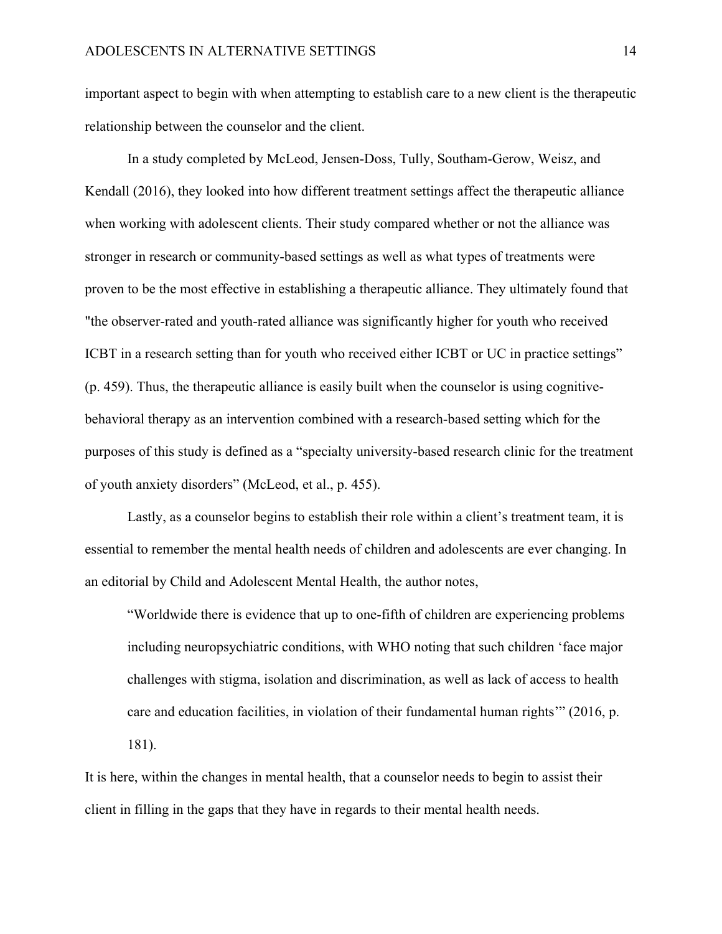important aspect to begin with when attempting to establish care to a new client is the therapeutic relationship between the counselor and the client.

In a study completed by McLeod, Jensen-Doss, Tully, Southam-Gerow, Weisz, and Kendall (2016), they looked into how different treatment settings affect the therapeutic alliance when working with adolescent clients. Their study compared whether or not the alliance was stronger in research or community-based settings as well as what types of treatments were proven to be the most effective in establishing a therapeutic alliance. They ultimately found that "the observer-rated and youth-rated alliance was significantly higher for youth who received ICBT in a research setting than for youth who received either ICBT or UC in practice settings" (p. 459). Thus, the therapeutic alliance is easily built when the counselor is using cognitivebehavioral therapy as an intervention combined with a research-based setting which for the purposes of this study is defined as a "specialty university-based research clinic for the treatment of youth anxiety disorders" (McLeod, et al., p. 455).

Lastly, as a counselor begins to establish their role within a client's treatment team, it is essential to remember the mental health needs of children and adolescents are ever changing. In an editorial by Child and Adolescent Mental Health, the author notes,

"Worldwide there is evidence that up to one-fifth of children are experiencing problems including neuropsychiatric conditions, with WHO noting that such children 'face major challenges with stigma, isolation and discrimination, as well as lack of access to health care and education facilities, in violation of their fundamental human rights'" (2016, p. 181).

It is here, within the changes in mental health, that a counselor needs to begin to assist their client in filling in the gaps that they have in regards to their mental health needs.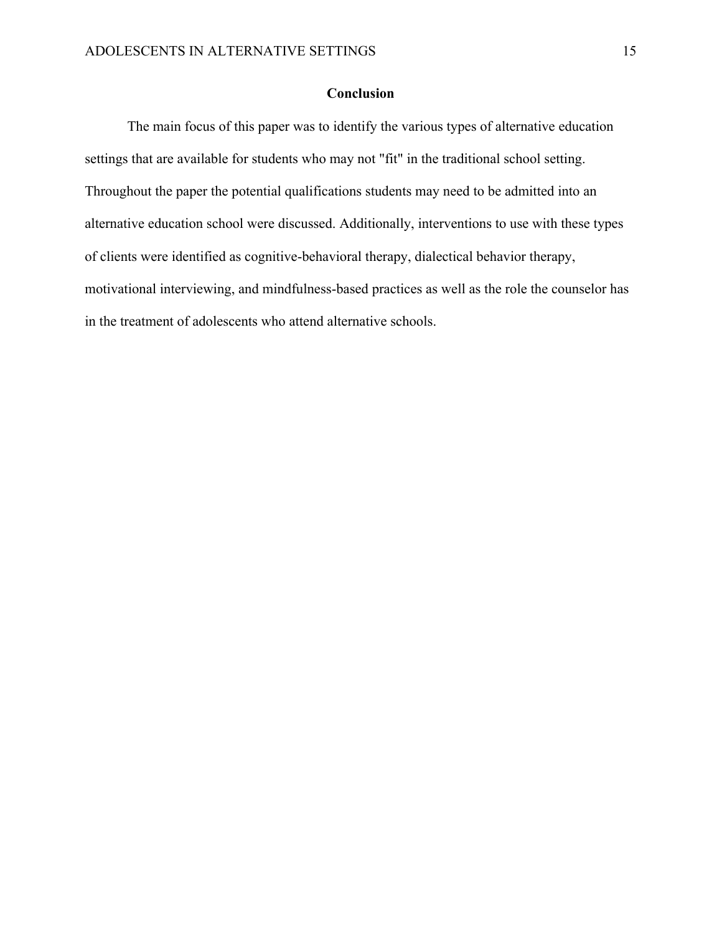### **Conclusion**

The main focus of this paper was to identify the various types of alternative education settings that are available for students who may not "fit" in the traditional school setting. Throughout the paper the potential qualifications students may need to be admitted into an alternative education school were discussed. Additionally, interventions to use with these types of clients were identified as cognitive-behavioral therapy, dialectical behavior therapy, motivational interviewing, and mindfulness-based practices as well as the role the counselor has in the treatment of adolescents who attend alternative schools.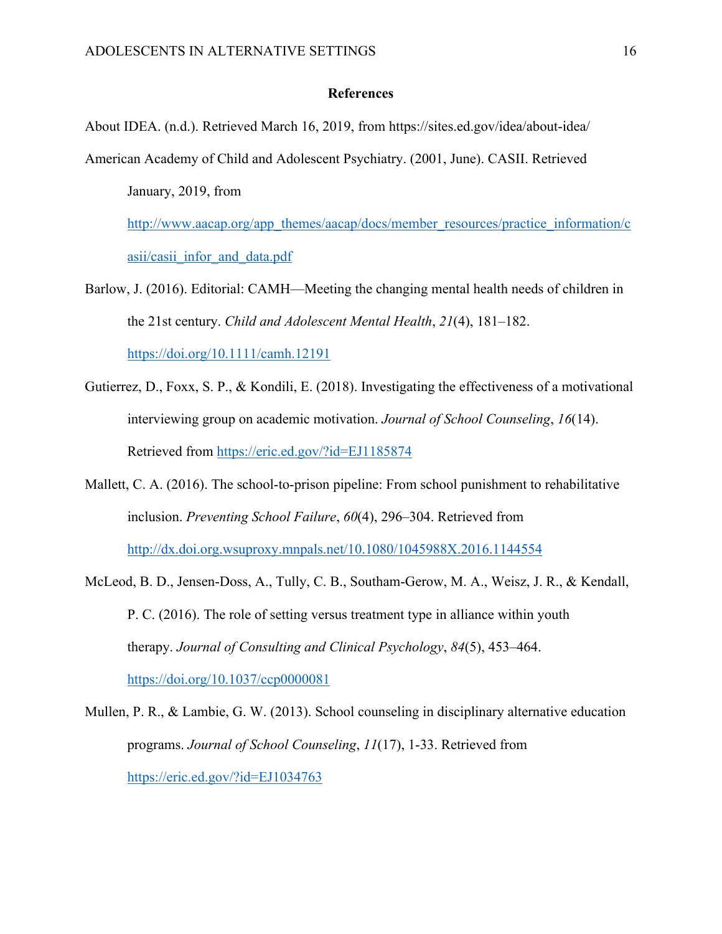#### **References**

About IDEA. (n.d.). Retrieved March 16, 2019, from https://sites.ed.gov/idea/about-idea/

American Academy of Child and Adolescent Psychiatry. (2001, June). CASII. Retrieved January, 2019, from

http://www.aacap.org/app\_themes/aacap/docs/member\_resources/practice\_information/c asii/casii\_infor\_and\_data.pdf

- Barlow, J. (2016). Editorial: CAMH—Meeting the changing mental health needs of children in the 21st century. *Child and Adolescent Mental Health*, *21*(4), 181–182. https://doi.org/10.1111/camh.12191
- Gutierrez, D., Foxx, S. P., & Kondili, E. (2018). Investigating the effectiveness of a motivational interviewing group on academic motivation. *Journal of School Counseling*, *16*(14). Retrieved from https://eric.ed.gov/?id=EJ1185874
- Mallett, C. A. (2016). The school-to-prison pipeline: From school punishment to rehabilitative inclusion. *Preventing School Failure*, *60*(4), 296–304. Retrieved from http://dx.doi.org.wsuproxy.mnpals.net/10.1080/1045988X.2016.1144554
- McLeod, B. D., Jensen-Doss, A., Tully, C. B., Southam-Gerow, M. A., Weisz, J. R., & Kendall, P. C. (2016). The role of setting versus treatment type in alliance within youth therapy. *Journal of Consulting and Clinical Psychology*, *84*(5), 453–464. https://doi.org/10.1037/ccp0000081
- Mullen, P. R., & Lambie, G. W. (2013). School counseling in disciplinary alternative education programs. *Journal of School Counseling*, *11*(17), 1-33. Retrieved from https://eric.ed.gov/?id=EJ1034763